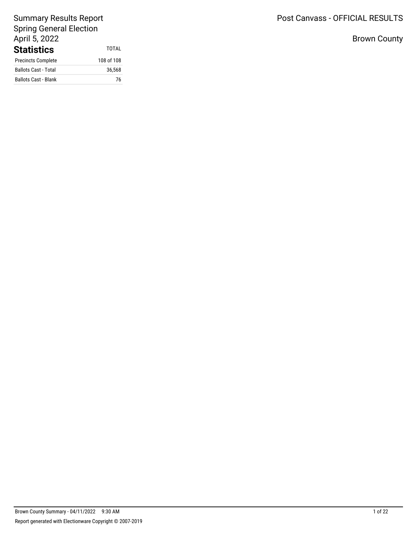# Post Canvass - OFFICIAL RESULTS

Brown County

# Summary Results Report Spring General Election April 5, 2022 **Statistics** TOTAL<br>Precincts Complete 108 of 108 Precincts Complete

| Preditions complete         | 100 UL 100 |
|-----------------------------|------------|
| <b>Ballots Cast - Total</b> | 36.568     |
| <b>Ballots Cast - Blank</b> | 76         |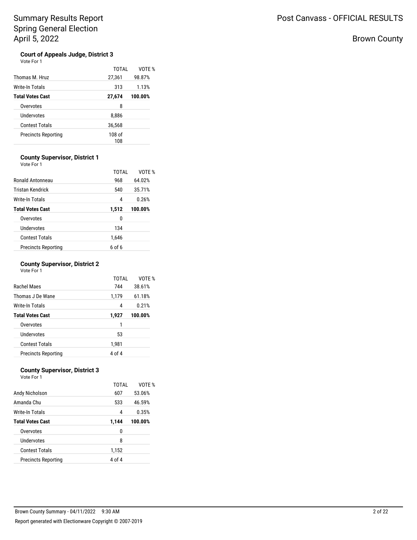# Brown County

### **Court of Appeals Judge, District 3**  $\vee$

| nтe | ⊦∩r |  |
|-----|-----|--|
|     |     |  |

| Thomas M. Hruz             | TOTAI<br>27,361 | VOTF %<br>98.87% |
|----------------------------|-----------------|------------------|
| Write-In Totals            | 313             | 1.13%            |
| <b>Total Votes Cast</b>    | 27,674          | 100.00%          |
| Overvotes                  | 8               |                  |
| Undervotes                 | 8,886           |                  |
| <b>Contest Totals</b>      | 36,568          |                  |
| <b>Precincts Reporting</b> | 108 of<br>108   |                  |

## **County Supervisor, District 1** Vote For 1

| Ronald Antonneau           | TOTAI<br>968 | VOTF %<br>64.02% |
|----------------------------|--------------|------------------|
| <b>Tristan Kendrick</b>    | 540          | 35.71%           |
| Write-In Totals            | 4            | 0.26%            |
| <b>Total Votes Cast</b>    | 1,512        | 100.00%          |
| Overvotes                  | 0            |                  |
| Undervotes                 | 134          |                  |
| <b>Contest Totals</b>      | 1,646        |                  |
| <b>Precincts Reporting</b> | 6 of 6       |                  |

## **County Supervisor, District 2**

| Vote For 1 |  |
|------------|--|

|                            | TOTAL  | VOTE %  |
|----------------------------|--------|---------|
| Rachel Maes                | 744    | 38.61%  |
| Thomas J De Wane           | 1,179  | 61.18%  |
| Write-In Totals            | 4      | 0.21%   |
| <b>Total Votes Cast</b>    | 1,927  | 100.00% |
| Overvotes                  | 1      |         |
| Undervotes                 | 53     |         |
| <b>Contest Totals</b>      | 1,981  |         |
| <b>Precincts Reporting</b> | 4 of 4 |         |

## **County Supervisor, District 3**

| TOTAL  | VOTE %  |
|--------|---------|
| 607    | 53.06%  |
| 533    | 46.59%  |
| 4      | 0.35%   |
| 1,144  | 100.00% |
| 0      |         |
| 8      |         |
| 1,152  |         |
| 4 of 4 |         |
|        |         |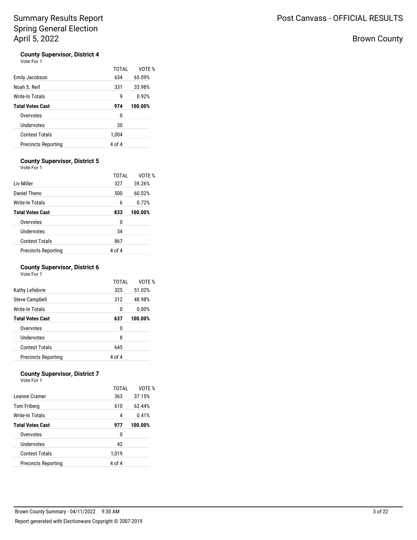Vote For 1

| Emily Jacobson             | TOTAI<br>634 | VOTF %<br>65.09% |
|----------------------------|--------------|------------------|
| Noah S. Reif               | 331          | 33.98%           |
| <b>Write-In Totals</b>     | g            | 0.92%            |
| <b>Total Votes Cast</b>    | 974          | 100.00%          |
| Overvotes                  | 0            |                  |
| Undervotes                 | 30           |                  |
| <b>Contest Totals</b>      | 1,004        |                  |
| <b>Precincts Reporting</b> | 4 of 4       |                  |

## **County Supervisor, District 5**

Vote For 1

|                            | TOTAL  | VOTE %  |
|----------------------------|--------|---------|
| Liv Miller                 | 327    | 39.26%  |
| Daniel Theno               | 500    | 60.02%  |
| Write-In Totals            | 6      | 0.72%   |
| <b>Total Votes Cast</b>    | 833    | 100.00% |
| Overvotes                  | 0      |         |
| Undervotes                 | 34     |         |
| <b>Contest Totals</b>      | 867    |         |
| <b>Precincts Reporting</b> | 4 of 4 |         |

## **County Supervisor, District 6**

Vote For 1

|                            | <b>TOTAL</b> | VOTE %  |
|----------------------------|--------------|---------|
| Kathy Lefebvre             | 325          | 51.02%  |
| Steve Campbell             | 312          | 48.98%  |
| Write-In Totals            | 0            | 0.00%   |
| <b>Total Votes Cast</b>    | 637          | 100.00% |
| Overvotes                  | 0            |         |
| Undervotes                 | 8            |         |
| <b>Contest Totals</b>      | 645          |         |
| <b>Precincts Reporting</b> | 4 of 4       |         |

### **County Supervisor, District 7** Vote For 1

|                            | TOTAL  | VOTE %  |
|----------------------------|--------|---------|
| Leanne Cramer              | 363    | 37.15%  |
| Tom Friberg                | 610    | 62.44%  |
| Write-In Totals            | 4      | 0.41%   |
| <b>Total Votes Cast</b>    | 977    | 100.00% |
| Overvotes                  | 0      |         |
| Undervotes                 | 42     |         |
| <b>Contest Totals</b>      | 1,019  |         |
| <b>Precincts Reporting</b> | 4 of 4 |         |

Brown County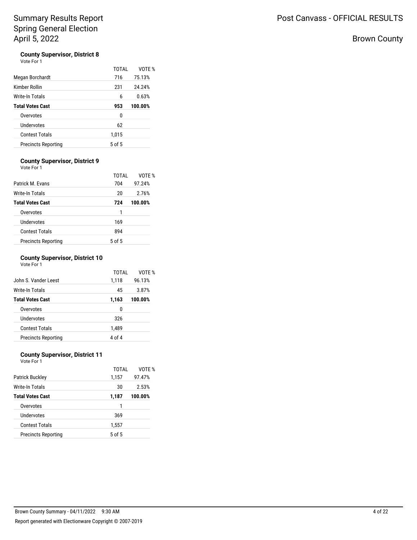Vote For 1

| Megan Borchardt            | TOTAI<br>716 | VOTF %<br>75.13% |
|----------------------------|--------------|------------------|
| Kimber Rollin              | 231          | 24.24%           |
| Write-In Totals            | 6            | 0.63%            |
| <b>Total Votes Cast</b>    | 953          | 100.00%          |
| Overvotes                  | 0            |                  |
| Undervotes                 | 62           |                  |
| <b>Contest Totals</b>      | 1,015        |                  |
| <b>Precincts Reporting</b> | $5$ of $5$   |                  |

## **County Supervisor, District 9**

| Vote For 1                 |        |         |
|----------------------------|--------|---------|
|                            | TOTAI  | VOTF %  |
| Patrick M. Fvans           | 704    | 97.24%  |
| Write-In Totals            | 20     | 2.76%   |
| <b>Total Votes Cast</b>    | 724    | 100.00% |
| Overvotes                  | 1      |         |
| Undervotes                 | 169    |         |
| <b>Contest Totals</b>      | 894    |         |
| <b>Precincts Reporting</b> | 5 of 5 |         |

## **County Supervisor, District 10**

Vote For 1

| TOTAI  | VOTF %  |
|--------|---------|
| 1,118  | 96.13%  |
| 45     | 3.87%   |
| 1,163  | 100.00% |
| 0      |         |
| 326    |         |
| 1,489  |         |
| 4 of 4 |         |
|        |         |

### **County Supervisor, District 11** Vote For 1

| <b>Patrick Buckley</b>     | TOTAI<br>1,157 | VOTF %<br>97.47% |
|----------------------------|----------------|------------------|
| <b>Write-In Totals</b>     | 30             | 2.53%            |
| <b>Total Votes Cast</b>    | 1,187          | 100.00%          |
| Overvotes                  |                |                  |
| Undervotes                 | 369            |                  |
| <b>Contest Totals</b>      | 1,557          |                  |
| <b>Precincts Reporting</b> | 5 of 5         |                  |

Brown County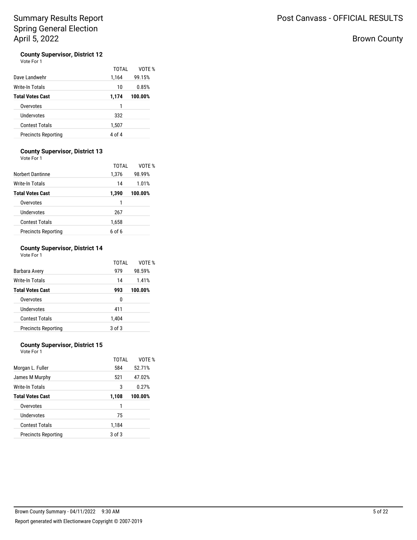# Brown County

# **County Supervisor, District 12**<br>Vote For 1

|                            | TOTAI  | VOTF %  |
|----------------------------|--------|---------|
| Dave Landwehr              | 1,164  | 99.15%  |
| Write-In Totals            | 10     | 0.85%   |
| <b>Total Votes Cast</b>    | 1,174  | 100.00% |
| Overvotes                  | 1      |         |
| Undervotes                 | 332    |         |
| <b>Contest Totals</b>      | 1,507  |         |
| <b>Precincts Reporting</b> | 4 of 4 |         |

## **County Supervisor, District 13**

Vote For 1

|                            | TOTAL  | VOTE %  |
|----------------------------|--------|---------|
| <b>Norbert Dantinne</b>    | 1,376  | 98.99%  |
| Write-In Totals            | 14     | 1.01%   |
| <b>Total Votes Cast</b>    | 1,390  | 100.00% |
| Overvotes                  | 1      |         |
| Undervotes                 | 267    |         |
| <b>Contest Totals</b>      | 1,658  |         |
| <b>Precincts Reporting</b> | 6 of 6 |         |

### **County Supervisor, District 14** Vote For 1

|                            | TOTAI  | VOTF %  |
|----------------------------|--------|---------|
| Barbara Avery              | 979    | 98.59%  |
| Write-In Totals            | 14     | 1.41%   |
| <b>Total Votes Cast</b>    | 993    | 100.00% |
| Overvotes                  | 0      |         |
| Undervotes                 | 411    |         |
| <b>Contest Totals</b>      | 1,404  |         |
| <b>Precincts Reporting</b> | 3 of 3 |         |

## **County Supervisor, District 15**

Vote For 1

|                            | TOTAL  | VOTE %  |
|----------------------------|--------|---------|
| Morgan L. Fuller           | 584    | 52.71%  |
| James M Murphy             | 521    | 47.02%  |
| Write-In Totals            | 3      | 0.27%   |
| <b>Total Votes Cast</b>    | 1,108  | 100.00% |
| Overvotes                  | 1      |         |
| Undervotes                 | 75     |         |
| <b>Contest Totals</b>      | 1,184  |         |
| <b>Precincts Reporting</b> | 3 of 3 |         |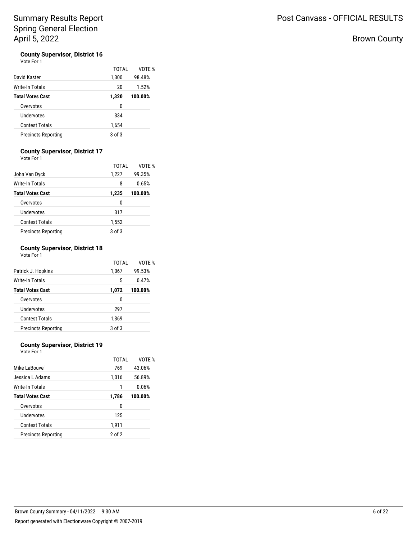# Brown County

# **County Supervisor, District 16**<br>Vote For 1

| Vote For 1 |  |
|------------|--|
|            |  |

| David Kaster               | TOTAI<br>1,300 | VOTE %<br>98.48% |
|----------------------------|----------------|------------------|
| Write-In Totals            | 20             | 1.52%            |
| <b>Total Votes Cast</b>    | 1,320          | 100.00%          |
| Overvotes                  | 0              |                  |
| Undervotes                 | 334            |                  |
| <b>Contest Totals</b>      | 1,654          |                  |
| <b>Precincts Reporting</b> | 3 of 3         |                  |

## **County Supervisor, District 17**

Vote For 1

|                            | TOTAI  | VOTE %  |
|----------------------------|--------|---------|
| John Van Dyck              | 1,227  | 99.35%  |
| Write-In Totals            | 8      | 0.65%   |
| <b>Total Votes Cast</b>    | 1,235  | 100.00% |
| Overvotes                  | 0      |         |
| Undervotes                 | 317    |         |
| <b>Contest Totals</b>      | 1,552  |         |
| <b>Precincts Reporting</b> | 3 of 3 |         |

### **County Supervisor, District 18** Vote For 1

|                            | TOTAL  | VOTE %  |
|----------------------------|--------|---------|
| Patrick J. Hopkins         | 1,067  | 99.53%  |
| Write-In Totals            | 5      | 0.47%   |
| <b>Total Votes Cast</b>    | 1,072  | 100.00% |
| Overvotes                  | 0      |         |
| Undervotes                 | 297    |         |
| <b>Contest Totals</b>      | 1,369  |         |
| <b>Precincts Reporting</b> | 3 of 3 |         |

## **County Supervisor, District 19**

Vote For 1

|                            | TOTAL      | VOTE %  |
|----------------------------|------------|---------|
| Mike LaBouve'              | 769        | 43.06%  |
| Jessica L Adams            | 1,016      | 56.89%  |
| Write-In Totals            | 1          | 0.06%   |
| <b>Total Votes Cast</b>    | 1,786      | 100.00% |
| Overvotes                  | 0          |         |
| Undervotes                 | 125        |         |
| <b>Contest Totals</b>      | 1,911      |         |
| <b>Precincts Reporting</b> | $2$ of $2$ |         |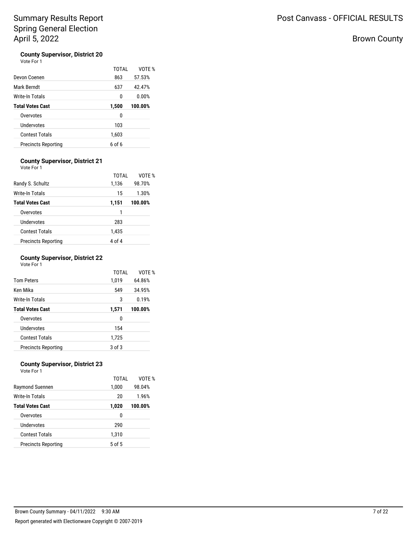# Brown County

# **County Supervisor, District 20**<br>Vote For 1

| Vote For 1 |  |  |
|------------|--|--|
|            |  |  |

| Devon Coenen               | TOTAI<br>863  | VOTF %<br>57.53% |
|----------------------------|---------------|------------------|
| Mark Berndt                | 637           | 42.47%           |
| Write-In Totals            | 0             | 0.00%            |
| <b>Total Votes Cast</b>    | 1,500         | 100.00%          |
| Overvotes                  | 0             |                  |
| Undervotes                 | 103           |                  |
| <b>Contest Totals</b>      | 1,603         |                  |
| <b>Precincts Reporting</b> | <u>რი f რ</u> |                  |

# **County Supervisor, District 21**

| Vote For 1                 |        |         |
|----------------------------|--------|---------|
|                            | TOTAI  | VOTE %  |
| Randy S. Schultz           | 1,136  | 98.70%  |
| <b>Write-In Totals</b>     | 15     | 1.30%   |
| <b>Total Votes Cast</b>    | 1,151  | 100.00% |
| Overvotes                  | 1      |         |
| Undervotes                 | 283    |         |
| <b>Contest Totals</b>      | 1,435  |         |
| <b>Precincts Reporting</b> | 4 of 4 |         |

## **County Supervisor, District 22**

Vote For 1

|                            | TOTAI      | VOTE %  |
|----------------------------|------------|---------|
| <b>Tom Peters</b>          | 1,019      | 64.86%  |
| Ken Mika                   | 549        | 34.95%  |
| Write-In Totals            | 3          | 0.19%   |
| <b>Total Votes Cast</b>    | 1,571      | 100.00% |
| Overvotes                  | 0          |         |
| Undervotes                 | 154        |         |
| <b>Contest Totals</b>      | 1,725      |         |
| <b>Precincts Reporting</b> | $3$ of $3$ |         |

# **County Supervisor, District 23**

|                            | TOTAI      | VOTF %  |
|----------------------------|------------|---------|
| Raymond Suennen            | 1,000      | 98.04%  |
| Write-In Totals            | 20         | 1.96%   |
| <b>Total Votes Cast</b>    | 1,020      | 100.00% |
| Overvotes                  | 0          |         |
| Undervotes                 | 290        |         |
| Contest Totals             | 1,310      |         |
| <b>Precincts Reporting</b> | $5$ of $5$ |         |
|                            |            |         |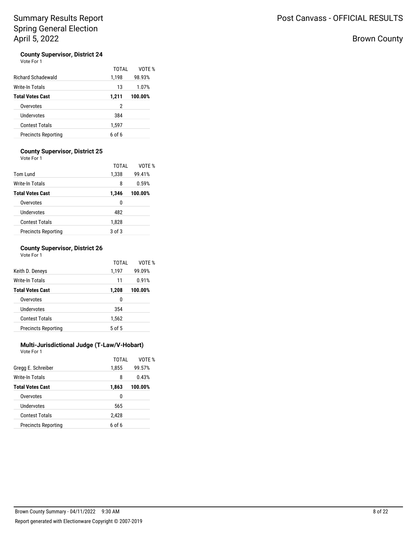Post Canvass - OFFICIAL RESULTS

# Brown County

# **County Supervisor, District 24**<br>Vote For 1

| Vote For 1 |  |
|------------|--|
|------------|--|

|                            | TOTAI         | VOTF %  |
|----------------------------|---------------|---------|
| <b>Richard Schadewald</b>  | 1,198         | 98.93%  |
| Write-In Totals            | 13            | 1.07%   |
| <b>Total Votes Cast</b>    | 1,211         | 100.00% |
| Overvotes                  | 2             |         |
| Undervotes                 | 384           |         |
| <b>Contest Totals</b>      | 1,597         |         |
| <b>Precincts Reporting</b> | <u>რი f რ</u> |         |

## **County Supervisor, District 25**

Vote For 1

|                            | TOTAL      | VOTF %  |
|----------------------------|------------|---------|
| Tom Lund                   | 1,338      | 99.41%  |
| Write-In Totals            | 8          | 0.59%   |
| <b>Total Votes Cast</b>    | 1,346      | 100.00% |
| Overvotes                  | 0          |         |
| Undervotes                 | 482        |         |
| Contest Totals             | 1,828      |         |
| <b>Precincts Reporting</b> | $3$ of $3$ |         |

### **County Supervisor, District 26** Vote For 1

|                            | TOTAL  | VOTE %  |
|----------------------------|--------|---------|
| Keith D. Deneys            | 1,197  | 99.09%  |
| Write-In Totals            | 11     | 0.91%   |
| <b>Total Votes Cast</b>    | 1,208  | 100.00% |
| Overvotes                  | 0      |         |
| Undervotes                 | 354    |         |
| Contest Totals             | 1,562  |         |
| <b>Precincts Reporting</b> | 5 of 5 |         |

### **Multi-Jurisdictional Judge (T-Law/V-Hobart)** Vote For 1

| Gregg E. Schreiber         | TOTAI<br>1,855 | VOTE %<br>99.57% |
|----------------------------|----------------|------------------|
| Write-In Totals            | 8              | 0.43%            |
| <b>Total Votes Cast</b>    | 1,863          | 100.00%          |
| Overvotes                  | 0              |                  |
| Undervotes                 | 565            |                  |
| <b>Contest Totals</b>      | 2,428          |                  |
| <b>Precincts Reporting</b> | $6$ of $6$     |                  |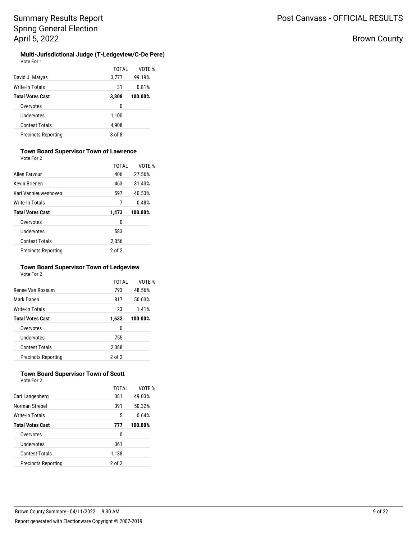# Brown County

### **Multi-Jurisdictional Judge (T-Ledgeview/C-De Pere)** Vote For 1

|                            | TOTAL  | VOTE %  |
|----------------------------|--------|---------|
| David J. Matyas            | 3,777  | 99.19%  |
| Write-In Totals            | 31     | 0.81%   |
| <b>Total Votes Cast</b>    | 3,808  | 100.00% |
| Overvotes                  | 0      |         |
| Undervotes                 | 1,100  |         |
| <b>Contest Totals</b>      | 4,908  |         |
| <b>Precincts Reporting</b> | 8 of 8 |         |
|                            |        |         |

## **Town Board Supervisor Town of Lawrence**

Vote For 2

|                            | TOTAL      | VOTF %  |
|----------------------------|------------|---------|
| <b>Allen Farvour</b>       | 406        | 27.56%  |
| <b>Kevin Brienen</b>       | 463        | 31.43%  |
| Kari Vannieuwenhoven       | 597        | 40.53%  |
| <b>Write-In Totals</b>     | 7          | 0.48%   |
| <b>Total Votes Cast</b>    | 1,473      | 100.00% |
| Overvotes                  | 0          |         |
| Undervotes                 | 583        |         |
| <b>Contest Totals</b>      | 2,056      |         |
| <b>Precincts Reporting</b> | $2$ of $2$ |         |

### **Town Board Supervisor Town of Ledgeview** Vote For 2

| Renee Van Rossum           | TOTAI<br>793 | VOTF %<br>48.56% |
|----------------------------|--------------|------------------|
|                            |              |                  |
| Mark Danen                 | 817          | 50.03%           |
| Write-In Totals            | 23           | 1.41%            |
| <b>Total Votes Cast</b>    | 1,633        | 100.00%          |
| Overvotes                  | 0            |                  |
| Undervotes                 | 755          |                  |
| <b>Contest Totals</b>      | 2,388        |                  |
| <b>Precincts Reporting</b> | 2 of 2       |                  |

### **Town Board Supervisor Town of Scott** Vote For 2

|                            | TOTAI      | VOTF %  |
|----------------------------|------------|---------|
| Cari Langenberg            | 381        | 49.03%  |
| Norman Strebel             | 391        | 50.32%  |
| Write-In Totals            | 5          | 0.64%   |
| <b>Total Votes Cast</b>    | 777        | 100.00% |
| Overvotes                  | 0          |         |
| Undervotes                 | 361        |         |
| <b>Contest Totals</b>      | 1,138      |         |
| <b>Precincts Reporting</b> | $2$ of $2$ |         |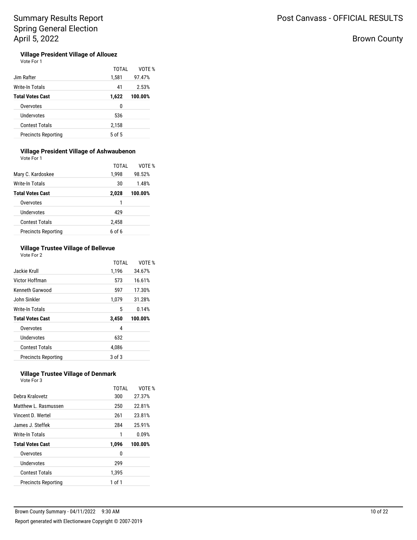# Brown County

### **Village President Village of Allouez** Vote For 1

|                            | TOTAL      | VOTE %  |
|----------------------------|------------|---------|
| Jim Rafter                 | 1,581      | 97.47%  |
| <b>Write-In Totals</b>     | 41         | 2.53%   |
| <b>Total Votes Cast</b>    | 1,622      | 100.00% |
| Overvotes                  | 0          |         |
| Undervotes                 | 536        |         |
| <b>Contest Totals</b>      | 2,158      |         |
| <b>Precincts Reporting</b> | $5$ of $5$ |         |
|                            |            |         |

## **Village President Village of Ashwaubenon**

Vote For 1

|                            | TOTAI         | VOTF %  |
|----------------------------|---------------|---------|
| Mary C. Kardoskee          | 1,998         | 98.52%  |
| <b>Write-In Totals</b>     | 30            | 1.48%   |
| <b>Total Votes Cast</b>    | 2,028         | 100.00% |
| Overvotes                  | 1             |         |
| Undervotes                 | 429           |         |
| Contest Totals             | 2,458         |         |
| <b>Precincts Reporting</b> | <u>რი f რ</u> |         |

## **Village Trustee Village of Bellevue** Vote For 2

|                            | TOTAL  | VOTF %  |
|----------------------------|--------|---------|
| Jackie Krull               | 1,196  | 34.67%  |
| Victor Hoffman             | 573    | 16.61%  |
| Kenneth Garwood            | 597    | 17.30%  |
| John Sinkler               | 1,079  | 31.28%  |
| Write-In Totals            | 5      | 0.14%   |
| <b>Total Votes Cast</b>    | 3,450  | 100.00% |
| Overvotes                  | 4      |         |
| Undervotes                 | 632    |         |
| <b>Contest Totals</b>      | 4.086  |         |
| <b>Precincts Reporting</b> | 3 of 3 |         |

### **Village Trustee Village of Denmark** Vote For 3

| Debra Kralovetz            | TOTAL<br>300 | VOTF %<br>27.37% |
|----------------------------|--------------|------------------|
| Matthew L. Rasmussen       | 250          | 22.81%           |
| Vincent D. Wertel          | 261          | 23.81%           |
| James J. Steffek           | 284          | 25.91%           |
| Write-In Totals            | 1            | 0.09%            |
| <b>Total Votes Cast</b>    | 1,096        | 100.00%          |
| Overvotes                  | 0            |                  |
| Undervotes                 | 299          |                  |
| <b>Contest Totals</b>      | 1.395        |                  |
| <b>Precincts Reporting</b> | 1 of 1       |                  |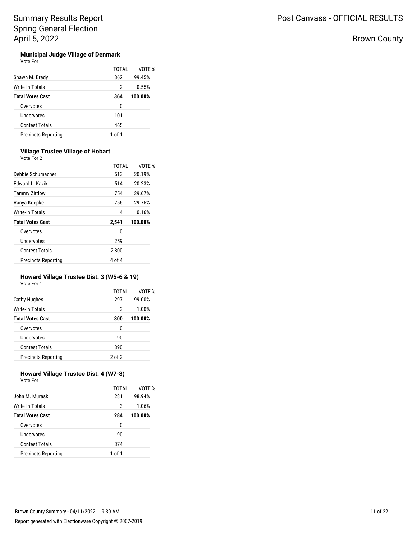# Brown County

### **Municipal Judge Village of Denmark**  $\vee$

| nte For |  |
|---------|--|

| Shawn M. Brady             | TOTAI<br>362 | VOTE %<br>99.45% |
|----------------------------|--------------|------------------|
| Write-In Totals            | 2            | 0.55%            |
| <b>Total Votes Cast</b>    | 364          | 100.00%          |
| Overvotes                  | 0            |                  |
| Undervotes                 | 101          |                  |
| <b>Contest Totals</b>      | 465          |                  |
| <b>Precincts Reporting</b> | 1 of 1       |                  |

## **Village Trustee Village of Hobart**

Vote For 2

| TOTAL  | VOTF %  |
|--------|---------|
| 513    | 20.19%  |
| 514    | 20.23%  |
| 754    | 29.67%  |
| 756    | 29.75%  |
| 4      | 0.16%   |
| 2,541  | 100.00% |
| 0      |         |
| 259    |         |
| 2,800  |         |
| 4 of 4 |         |
|        |         |

# **Howard Village Trustee Dist. 3 (W5-6 & 19)**

Vote For 1

|                            | TOTAI      | VOTF %  |
|----------------------------|------------|---------|
| Cathy Hughes               | 297        | 99.00%  |
| Write-In Totals            | 3          | 1.00%   |
| <b>Total Votes Cast</b>    | 300        | 100.00% |
| Overvotes                  | 0          |         |
| Undervotes                 | 90         |         |
| <b>Contest Totals</b>      | 390        |         |
| <b>Precincts Reporting</b> | $2$ of $2$ |         |

## **Howard Village Trustee Dist. 4 (W7-8)** Vote For 1

| John M. Muraski            | TOTAI<br>281 | VOTF %<br>98.94% |
|----------------------------|--------------|------------------|
| Write-In Totals            | 3            | 1.06%            |
| <b>Total Votes Cast</b>    | 284          | 100.00%          |
| Overvotes                  | 0            |                  |
| Undervotes                 | 90           |                  |
| <b>Contest Totals</b>      | 374          |                  |
| <b>Precincts Reporting</b> | 1 of 1       |                  |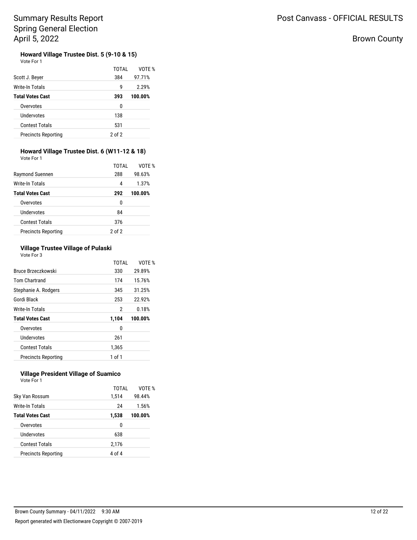# Brown County

### **Howard Village Trustee Dist. 5 (9-10 & 15)**  $\vee$

| ote For |  |
|---------|--|

| Scott J. Beyer             | TOTAL<br>384 | VOTE %<br>97.71% |
|----------------------------|--------------|------------------|
| Write-In Totals            | g            | 2.29%            |
| <b>Total Votes Cast</b>    | 393          | 100.00%          |
| Overvotes                  | 0            |                  |
| Undervotes                 | 138          |                  |
| <b>Contest Totals</b>      | 531          |                  |
| <b>Precincts Reporting</b> | 2 of 2       |                  |

#### **Howard Village Trustee Dist. 6 (W11-12 & 18)** Vote For 1

| VULT FUIT               |       |         |
|-------------------------|-------|---------|
|                         | TOTAI | VOTF %  |
| Raymond Suennen         | 288   | 98.63%  |
| Write-In Totals         | 4     | 1.37%   |
| <b>Total Votes Cast</b> | 292   | 100.00% |
| Overvotes               | 0     |         |
| Undervotes              | 84    |         |
| <b>Contest Totals</b>   | 376   |         |

## **Village Trustee Village of Pulaski** Vote For 3

Precincts Reporting 2 of 2

|                            | TOTAI  | VOTF %  |
|----------------------------|--------|---------|
| Bruce Brzeczkowski         | 330    | 29.89%  |
| <b>Tom Chartrand</b>       | 174    | 15.76%  |
| Stephanie A. Rodgers       | 345    | 31.25%  |
| Gordi Black                | 253    | 22.92%  |
| Write-In Totals            | 2      | 0.18%   |
| <b>Total Votes Cast</b>    | 1,104  | 100.00% |
| Overvotes                  | 0      |         |
| Undervotes                 | 261    |         |
| <b>Contest Totals</b>      | 1,365  |         |
| <b>Precincts Reporting</b> | 1 of 1 |         |

### **Village President Village of Suamico** Vote For 1

| Sky Van Rossum             | TOTAI<br>1,514 | VOTE %<br>98.44% |
|----------------------------|----------------|------------------|
| Write-In Totals            | 24             | 1.56%            |
| <b>Total Votes Cast</b>    | 1,538          | 100.00%          |
| Overvotes                  | 0              |                  |
| <b>Undervotes</b>          | 638            |                  |
| <b>Contest Totals</b>      | 2,176          |                  |
| <b>Precincts Reporting</b> | 4 of 4         |                  |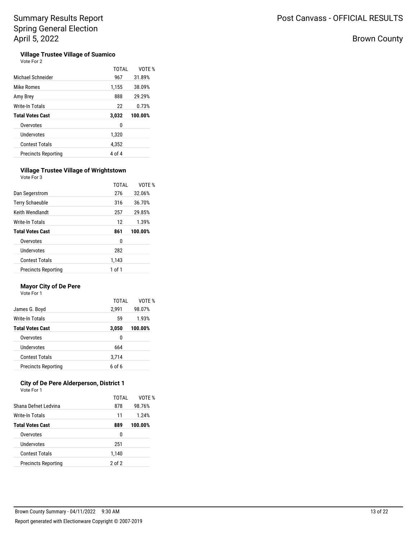# Brown County

### **Village Trustee Village of Suamico**  $V<sub>0</sub>$

| Michael Schneider          | TOTAI<br>967 | VOTF %<br>31.89% |
|----------------------------|--------------|------------------|
| Mike Romes                 | 1,155        | 38.09%           |
| Amy Brey                   | 888          | 29.29%           |
| Write-In Totals            | 22           | 0.73%            |
| <b>Total Votes Cast</b>    | 3,032        | 100.00%          |
| Overvotes                  | 0            |                  |
| Undervotes                 | 1,320        |                  |
| <b>Contest Totals</b>      | 4,352        |                  |
| <b>Precincts Reporting</b> | 4 of 4       |                  |

## **Village Trustee Village of Wrightstown**

| Vote For 3                 |        |         |
|----------------------------|--------|---------|
|                            | TOTAI  | VOTE %  |
| Dan Segerstrom             | 276    | 32.06%  |
| <b>Terry Schaeuble</b>     | 316    | 36.70%  |
| Keith Wendlandt            | 257    | 29.85%  |
| Write-In Totals            | 12     | 1.39%   |
| <b>Total Votes Cast</b>    | 861    | 100.00% |
| Overvotes                  | 0      |         |
| Undervotes                 | 282    |         |
| <b>Contest Totals</b>      | 1,143  |         |
| <b>Precincts Reporting</b> | 1 of 1 |         |

## **Mayor City of De Pere**

Vote For 1

|                            | TOTAI  | VOTE %  |
|----------------------------|--------|---------|
| James G. Boyd              | 2,991  | 98.07%  |
| Write-In Totals            | 59     | 1.93%   |
| <b>Total Votes Cast</b>    | 3,050  | 100.00% |
| Overvotes                  | 0      |         |
| Undervotes                 | 664    |         |
| <b>Contest Totals</b>      | 3,714  |         |
| <b>Precincts Reporting</b> | 6 of 6 |         |

### **City of De Pere Alderperson, District 1** Vote For 1

| Shana Defnet Ledvina       | TOTAI<br>878 | VOTE %<br>98.76% |
|----------------------------|--------------|------------------|
| Write-In Totals            | 11           | 1.24%            |
| <b>Total Votes Cast</b>    | 889          | 100.00%          |
| Overvotes                  | 0            |                  |
| Undervotes                 | 251          |                  |
| Contest Totals             | 1,140        |                  |
| <b>Precincts Reporting</b> | $2$ of $2$   |                  |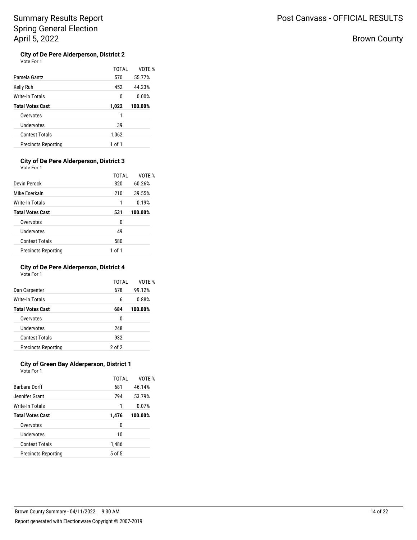# Brown County

### **City of De Pere Alderperson, District 2**  $\vee$

| ote For 1 |  |
|-----------|--|
|-----------|--|

| Pamela Gantz               | TOTAI<br>570 | VOTE %<br>55.77% |
|----------------------------|--------------|------------------|
| Kelly Ruh                  | 452          | 44.23%           |
| Write-In Totals            | 0            | 0.00%            |
| Total Votes Cast           | 1,022        | 100.00%          |
| Overvotes                  | 1            |                  |
| Undervotes                 | 39           |                  |
| <b>Contest Totals</b>      | 1,062        |                  |
| <b>Precincts Reporting</b> | 1 of 1       |                  |

### **City of De Pere Alderperson, District 3** Vote For 1

| Devin Perock               | TOTAI<br>320 | VOTF %<br>60.26% |
|----------------------------|--------------|------------------|
| Mike Eserkaln              | 210          | 39.55%           |
| Write-In Totals            | 1            | 0.19%            |
| <b>Total Votes Cast</b>    | 531          | 100.00%          |
| Overvotes                  | 0            |                  |
| Undervotes                 | 49           |                  |
| <b>Contest Totals</b>      | 580          |                  |
| <b>Precincts Reporting</b> | 1 of 1       |                  |

# **City of De Pere Alderperson, District 4**

| Vote For 1 |  |  |
|------------|--|--|
|            |  |  |

|                            | TOTAI      | VOTE %  |
|----------------------------|------------|---------|
| Dan Carpenter              | 678        | 99.12%  |
| Write-In Totals            | 6          | 0.88%   |
| <b>Total Votes Cast</b>    | 684        | 100.00% |
| Overvotes                  | 0          |         |
| Undervotes                 | 248        |         |
| <b>Contest Totals</b>      | 932        |         |
| <b>Precincts Reporting</b> | $2$ of $2$ |         |
|                            |            |         |

### **City of Green Bay Alderperson, District 1** Vote For 1

| <b>Barbara Dorff</b>       | TOTAI<br>681 | VOTF %<br>46.14% |
|----------------------------|--------------|------------------|
| Jennifer Grant             | 794          | 53.79%           |
| Write-In Totals            | 1            | 0.07%            |
| <b>Total Votes Cast</b>    | 1,476        | 100.00%          |
| Overvotes                  | 0            |                  |
| Undervotes                 | 10           |                  |
| <b>Contest Totals</b>      | 1,486        |                  |
| <b>Precincts Reporting</b> | $5$ of $5$   |                  |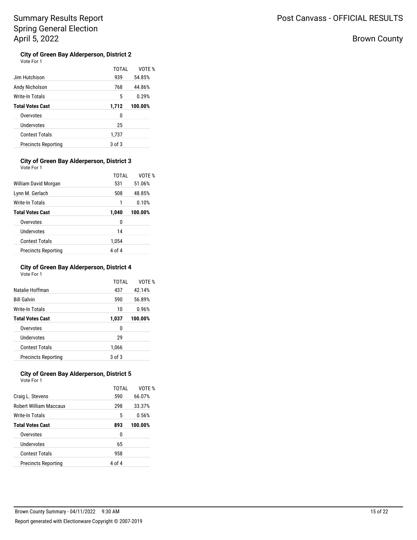# Brown County

### **City of Green Bay Alderperson, District 2**  $\vee$

| Jim Hutchison              | TOTAI<br>939 | VOTE %<br>54.85% |
|----------------------------|--------------|------------------|
| Andy Nicholson             | 768          | 44.86%           |
| Write-In Totals            | 5            | 0.29%            |
| <b>Total Votes Cast</b>    | 1,712        | 100.00%          |
| Overvotes                  | 0            |                  |
| Undervotes                 | 25           |                  |
| <b>Contest Totals</b>      | 1,737        |                  |
| <b>Precincts Reporting</b> | 3 of 3       |                  |

### **City of Green Bay Alderperson, District 3** Vote For 1

| William David Morgan       | TOTAI<br>531 | VOTF %<br>51.06% |
|----------------------------|--------------|------------------|
| Lynn M. Gerlach            | 508          | 48.85%           |
| Write-In Totals            | 1            | 0.10%            |
| <b>Total Votes Cast</b>    | 1,040        | 100.00%          |
| Overvotes                  | 0            |                  |
| <b>Undervotes</b>          | 14           |                  |
| <b>Contest Totals</b>      | 1,054        |                  |
| <b>Precincts Reporting</b> | 4 of 4       |                  |

## **City of Green Bay Alderperson, District 4** Vote For 1

| Natalie Hoffman            | TOTAI<br>437 | VOTF %<br>42.14% |
|----------------------------|--------------|------------------|
| <b>Bill Galvin</b>         | 590          | 56.89%           |
| Write-In Totals            | 10           | 0.96%            |
| <b>Total Votes Cast</b>    | 1,037        | 100.00%          |
| Overvotes                  | 0            |                  |
| Undervotes                 | 29           |                  |
| <b>Contest Totals</b>      | 1,066        |                  |
| <b>Precincts Reporting</b> | $3$ of $3$   |                  |

### **City of Green Bay Alderperson, District 5** Vote For 1

|                               | TOTAI  | VOTF %  |
|-------------------------------|--------|---------|
| Craig L. Stevens              | 590    | 66.07%  |
| <b>Robert William Maccaux</b> | 298    | 33.37%  |
| Write-In Totals               | 5      | 0.56%   |
| <b>Total Votes Cast</b>       | 893    | 100.00% |
| Overvotes                     | U      |         |
| Undervotes                    | 65     |         |
| <b>Contest Totals</b>         | 958    |         |
| <b>Precincts Reporting</b>    | 4 of 4 |         |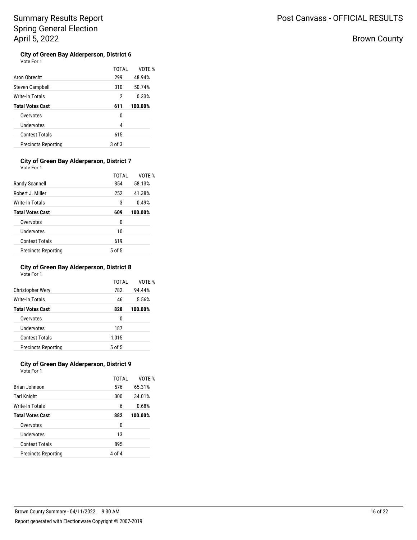# Brown County

| City of Green Bay Alderperson, District 6 |  |
|-------------------------------------------|--|
| Vote For 1                                |  |

| Aron Obrecht               | TOTAI<br>299 | VOTF %<br>48.94% |
|----------------------------|--------------|------------------|
|                            |              |                  |
| Steven Campbell            | 310          | 50.74%           |
| Write-In Totals            | 2            | 0.33%            |
| <b>Total Votes Cast</b>    | 611          | 100.00%          |
| Overvotes                  | 0            |                  |
| Undervotes                 | 4            |                  |
| <b>Contest Totals</b>      | 615          |                  |
| <b>Precincts Reporting</b> | 3 of 3       |                  |

### **City of Green Bay Alderperson, District 7** Vote For 1

| Randy Scannell             | TOTAI<br>354 | VOTF %<br>58.13% |
|----------------------------|--------------|------------------|
| Robert J. Miller           | 252          | 41.38%           |
| Write-In Totals            | 3            | 0.49%            |
| <b>Total Votes Cast</b>    | 609          | 100.00%          |
| Overvotes                  | 0            |                  |
| Undervotes                 | 10           |                  |
| <b>Contest Totals</b>      | 619          |                  |
| <b>Precincts Reporting</b> | $5$ of $5$   |                  |

## **City of Green Bay Alderperson, District 8** Vote For 1

| <b>Christopher Wery</b>    | TOTAL<br>782 | VOTE %<br>94.44% |
|----------------------------|--------------|------------------|
| Write-In Totals            | 46           | 5.56%            |
| <b>Total Votes Cast</b>    | 828          | 100.00%          |
| Overvotes                  | 0            |                  |
| Undervotes                 | 187          |                  |
| Contest Totals             | 1,015        |                  |
| <b>Precincts Reporting</b> | 5 of 5       |                  |

# **City of Green Bay Alderperson, District 9**

| Vote For 1                 |              |         |
|----------------------------|--------------|---------|
|                            | <b>TOTAL</b> | VOTF %  |
| Brian Johnson              | 576          | 65.31%  |
| Tarl Knight                | 300          | 34.01%  |
| Write-In Totals            | 6            | 0.68%   |
| <b>Total Votes Cast</b>    | 882          | 100.00% |
| Overvotes                  | 0            |         |
| Undervotes                 | 13           |         |
| <b>Contest Totals</b>      | 895          |         |
| <b>Precincts Reporting</b> | 4 of 4       |         |
|                            |              |         |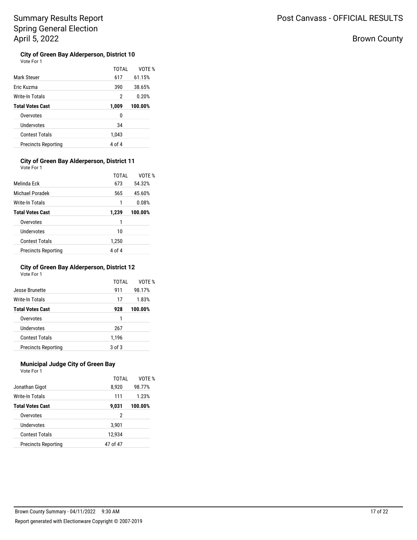# Brown County

### **City of Green Bay Alderperson, District 10**  $\vee$

| ote For |  |
|---------|--|

|                            | TOTAI  | VOTE %  |
|----------------------------|--------|---------|
| <b>Mark Steuer</b>         | 617    | 61.15%  |
| Eric Kuzma                 | 390    | 38.65%  |
| Write-In Totals            | 2      | 0.20%   |
| <b>Total Votes Cast</b>    | 1,009  | 100.00% |
| Overvotes                  | 0      |         |
| Undervotes                 | 34     |         |
| <b>Contest Totals</b>      | 1,043  |         |
| <b>Precincts Reporting</b> | 4 of 4 |         |

### **City of Green Bay Alderperson, District 11** Vote For 1

| Melinda Fck                | TOTAI<br>673 | VOTF %<br>54.32% |
|----------------------------|--------------|------------------|
| Michael Poradek            | 565          | 45.60%           |
| Write-In Totals            | 1            | 0.08%            |
| <b>Total Votes Cast</b>    | 1,239        | 100.00%          |
| Overvotes                  | 1            |                  |
| Undervotes                 | 10           |                  |
| <b>Contest Totals</b>      | 1,250        |                  |
| <b>Precincts Reporting</b> | 4 of 4       |                  |

## **City of Green Bay Alderperson, District 12** Vote For 1

| Jesse Brunette             | TOTAL<br>911 | VOTE %<br>98.17% |
|----------------------------|--------------|------------------|
| Write-In Totals            | 17           | 1.83%            |
| <b>Total Votes Cast</b>    | 928          | 100.00%          |
| Overvotes                  | 1            |                  |
| Undervotes                 | 267          |                  |
| <b>Contest Totals</b>      | 1,196        |                  |
| <b>Precincts Reporting</b> | $3$ of $3$   |                  |

## **Municipal Judge City of Green Bay**

| Vote For 1                 |          |         |
|----------------------------|----------|---------|
|                            | TOTAI    | VOTF %  |
| Jonathan Gigot             | 8,920    | 98.77%  |
| Write-In Totals            | 111      | 1.23%   |
| <b>Total Votes Cast</b>    | 9,031    | 100.00% |
| Overvotes                  | 2        |         |
| Undervotes                 | 3,901    |         |
| Contest Totals             | 12,934   |         |
| <b>Precincts Reporting</b> | 47 of 47 |         |
|                            |          |         |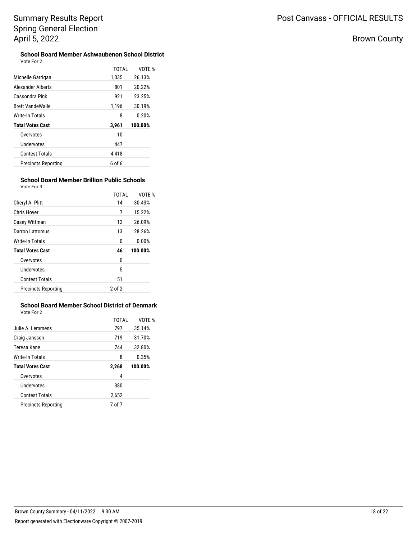# Brown County

### **School Board Member Ashwaubenon School District** Vote For 2

|                            | <b>TOTAL</b> | VOTF %  |
|----------------------------|--------------|---------|
| Michelle Garrigan          | 1.035        | 26.13%  |
| Alexander Alberts          | 801          | 20.22%  |
| Cassondra Pink             | 921          | 23.25%  |
| <b>Brett VandeWalle</b>    | 1,196        | 30.19%  |
| Write-In Totals            | 8            | 0.20%   |
| <b>Total Votes Cast</b>    | 3,961        | 100.00% |
| Overvotes                  | 10           |         |
| Undervotes                 | 447          |         |
| <b>Contest Totals</b>      | 4,418        |         |
| <b>Precincts Reporting</b> | 6 of 6       |         |

### **School Board Member Brillion Public Schools** Vote For 3

|                            | TOTAI      | VOTF %  |
|----------------------------|------------|---------|
| Cheryl A. Plitt            | 14         | 30.43%  |
| Chris Hover                | 7          | 15.22%  |
| Casey Wittman              | 12         | 26.09%  |
| Darron Lattomus            | 13         | 28.26%  |
| Write-In Totals            | 0          | 0.00%   |
| <b>Total Votes Cast</b>    | 46         | 100.00% |
| Overvotes                  | 0          |         |
| Undervotes                 | 5          |         |
| <b>Contest Totals</b>      | 51         |         |
| <b>Precincts Reporting</b> | $2$ of $2$ |         |

### **School Board Member School District of Denmark** Vote For 2

|                            | TOTAL  | VOTE %  |
|----------------------------|--------|---------|
| Julie A. Lemmens           | 797    | 35.14%  |
| Craig Janssen              | 719    | 31.70%  |
| Teresa Kane                | 744    | 32.80%  |
| Write-In Totals            | 8      | 0.35%   |
| <b>Total Votes Cast</b>    | 2,268  | 100.00% |
| Overvotes                  | 4      |         |
| Undervotes                 | 380    |         |
| <b>Contest Totals</b>      | 2,652  |         |
| <b>Precincts Reporting</b> | 7 of 7 |         |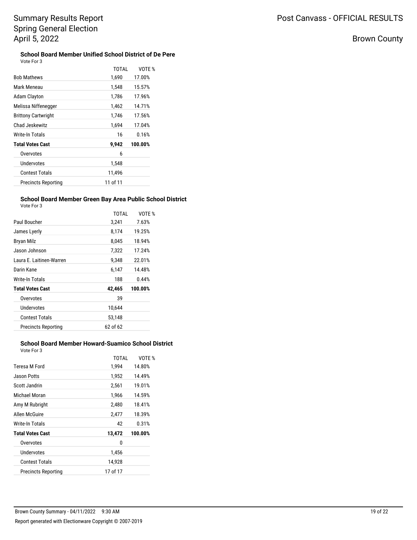# Post Canvass - OFFICIAL RESULTS

# Brown County

### **School Board Member Unified School District of De Pere** Vote For 3

| <b>TOTAL</b> | VOTE %  |
|--------------|---------|
| 1,690        | 17.00%  |
| 1,548        | 15.57%  |
| 1,786        | 17.96%  |
| 1,462        | 14.71%  |
| 1,746        | 17.56%  |
| 1,694        | 17.04%  |
| 16           | 0.16%   |
| 9,942        | 100.00% |
| 6            |         |
| 1,548        |         |
| 11,496       |         |
| 11 of 11     |         |
|              |         |

### **School Board Member Green Bay Area Public School District** Vote For 3

|                          | <b>TOTAL</b> | VOTE % |
|--------------------------|--------------|--------|
| Paul Boucher             | 3,241        | 7.63%  |
| James Lyerly             | 8,174        | 19.25% |
| Bryan Milz               | 8.045        | 18.94% |
| Jason Johnson            | 7,322        | 17.24% |
| Laura E. Laitinen-Warren | 9.348        | 22.01% |
| Darin Kane               | 6.147        | 14.48% |
| Write In Totale          | 100          | 0.110  |

| Laura L. Laithleir Wallell | 9.ט+ט    | 44.UI 70 |
|----------------------------|----------|----------|
| Darin Kane                 | 6,147    | 14.48%   |
| Write-In Totals            | 188      | 0.44%    |
| <b>Total Votes Cast</b>    | 42,465   | 100.00%  |
| Overvotes                  | 39       |          |
| Undervotes                 | 10.644   |          |
| <b>Contest Totals</b>      | 53.148   |          |
| <b>Precincts Reporting</b> | 62 of 62 |          |

## **School Board Member Howard-Suamico School District** Vote For 3

| Teresa M Ford              | TOTAI<br>1,994 | VOTF %<br>14.80% |
|----------------------------|----------------|------------------|
| Jason Potts                | 1,952          | 14.49%           |
| Scott Jandrin              | 2,561          | 19.01%           |
| Michael Moran              | 1,966          | 14.59%           |
| Amy M Rubright             | 2,480          | 18.41%           |
| Allen McGuire              | 2,477          | 18.39%           |
| Write-In Totals            | 42             | 0.31%            |
| <b>Total Votes Cast</b>    | 13,472         | 100.00%          |
| Overvotes                  | 0              |                  |
| Undervotes                 | 1,456          |                  |
| Contest Totals             | 14.928         |                  |
| <b>Precincts Reporting</b> | 17 of 17       |                  |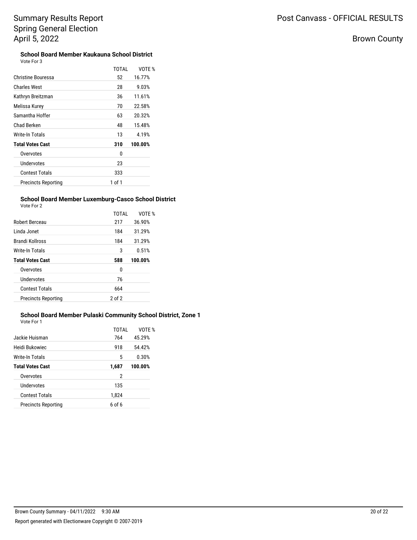# Brown County

| <b>School Board Member Kaukauna School District</b> |  |
|-----------------------------------------------------|--|
| Vote For 3                                          |  |

|                            | TOTAI  | VOTE %  |
|----------------------------|--------|---------|
|                            |        |         |
| <b>Christine Bouressa</b>  | 52     | 16.77%  |
| <b>Charles West</b>        | 28     | 9.03%   |
| Kathryn Breitzman          | 36     | 11.61%  |
| Melissa Kurey              | 70     | 22.58%  |
| Samantha Hoffer            | 63     | 20.32%  |
| Chad Berken                | 48     | 15.48%  |
| Write-In Totals            | 13     | 4.19%   |
| <b>Total Votes Cast</b>    | 310    | 100.00% |
| Overvotes                  | 0      |         |
| Undervotes                 | 23     |         |
| <b>Contest Totals</b>      | 333    |         |
| <b>Precincts Reporting</b> | 1 of 1 |         |

## **School Board Member Luxemburg-Casco School District**

| Vote For 2 |  |
|------------|--|
|            |  |

| Vote For 2                 |              |         |
|----------------------------|--------------|---------|
|                            | <b>TOTAL</b> | VOTE %  |
| Robert Berceau             | 217          | 36.90%  |
| Linda Jonet                | 184          | 31.29%  |
| <b>Brandi Kollross</b>     | 184          | 31.29%  |
| Write-In Totals            | 3            | 0.51%   |
| <b>Total Votes Cast</b>    | 588          | 100.00% |
| Overvotes                  | 0            |         |
| Undervotes                 | 76           |         |
| <b>Contest Totals</b>      | 664          |         |
| <b>Precincts Reporting</b> | $2$ of $2$   |         |
|                            |              |         |

## **School Board Member Pulaski Community School District, Zone 1**

| Vote For 1                 |        |         |
|----------------------------|--------|---------|
|                            | TOTAI  | VOTE %  |
| Jackie Huisman             | 764    | 45.29%  |
| Heidi Bukowiec             | 918    | 54.42%  |
| Write-In Totals            | 5      | 0.30%   |
| <b>Total Votes Cast</b>    | 1,687  | 100.00% |
| Overvotes                  | 2      |         |
| Undervotes                 | 135    |         |
| <b>Contest Totals</b>      | 1,824  |         |
| <b>Precincts Reporting</b> | 6 of 6 |         |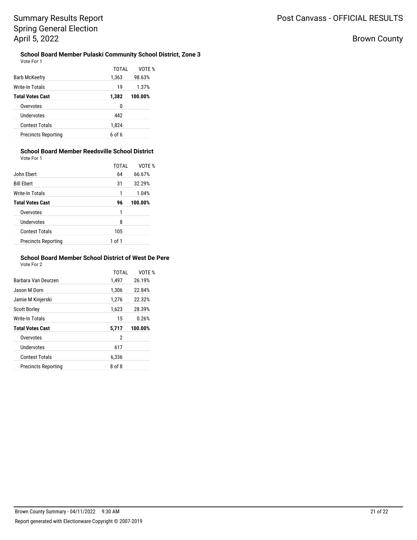Brown County

### **School Board Member Pulaski Community School District, Zone 3** Vote For 1

|                            | TOTAL  | VOTE %  |
|----------------------------|--------|---------|
| Barb McKeefry              | 1,363  | 98.63%  |
| Write-In Totals            | 19     | 1.37%   |
| <b>Total Votes Cast</b>    | 1,382  | 100.00% |
| Overvotes                  | 0      |         |
| Undervotes                 | 442    |         |
| <b>Contest Totals</b>      | 1,824  |         |
| <b>Precincts Reporting</b> | 6 of 6 |         |
|                            |        |         |

### **School Board Member Reedsville School District** Vote For 1

|                            | TOTAL  | VOTF %  |
|----------------------------|--------|---------|
| John Ebert                 | 64     | 66.67%  |
| <b>Bill Ebert</b>          | 31     | 32.29%  |
| Write-In Totals            | 1      | 1.04%   |
| <b>Total Votes Cast</b>    | 96     | 100.00% |
| Overvotes                  | 1      |         |
| Undervotes                 | 8      |         |
| <b>Contest Totals</b>      | 105    |         |
| <b>Precincts Reporting</b> | 1 of 1 |         |

## **School Board Member School District of West De Pere**

Vote For 2

| <b>TOTAL</b> | VOTE %  |
|--------------|---------|
| 1,497        | 26.19%  |
| 1,306        | 22.84%  |
| 1,276        | 22.32%  |
| 1,623        | 28.39%  |
| 15           | 0.26%   |
| 5,717        | 100.00% |
| 2            |         |
| 617          |         |
| 6,336        |         |
| 8 of 8       |         |
|              |         |